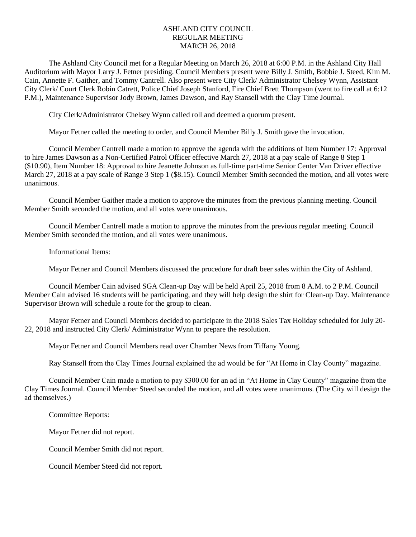# ASHLAND CITY COUNCIL REGULAR MEETING MARCH 26, 2018

The Ashland City Council met for a Regular Meeting on March 26, 2018 at 6:00 P.M. in the Ashland City Hall Auditorium with Mayor Larry J. Fetner presiding. Council Members present were Billy J. Smith, Bobbie J. Steed, Kim M. Cain, Annette F. Gaither, and Tommy Cantrell. Also present were City Clerk/ Administrator Chelsey Wynn, Assistant City Clerk/ Court Clerk Robin Catrett, Police Chief Joseph Stanford, Fire Chief Brett Thompson (went to fire call at 6:12 P.M.), Maintenance Supervisor Jody Brown, James Dawson, and Ray Stansell with the Clay Time Journal.

City Clerk/Administrator Chelsey Wynn called roll and deemed a quorum present.

Mayor Fetner called the meeting to order, and Council Member Billy J. Smith gave the invocation.

Council Member Cantrell made a motion to approve the agenda with the additions of Item Number 17: Approval to hire James Dawson as a Non-Certified Patrol Officer effective March 27, 2018 at a pay scale of Range 8 Step 1 (\$10.90), Item Number 18: Approval to hire Jeanette Johnson as full-time part-time Senior Center Van Driver effective March 27, 2018 at a pay scale of Range 3 Step 1 (\$8.15). Council Member Smith seconded the motion, and all votes were unanimous.

Council Member Gaither made a motion to approve the minutes from the previous planning meeting. Council Member Smith seconded the motion, and all votes were unanimous.

Council Member Cantrell made a motion to approve the minutes from the previous regular meeting. Council Member Smith seconded the motion, and all votes were unanimous.

Informational Items:

Mayor Fetner and Council Members discussed the procedure for draft beer sales within the City of Ashland.

Council Member Cain advised SGA Clean-up Day will be held April 25, 2018 from 8 A.M. to 2 P.M. Council Member Cain advised 16 students will be participating, and they will help design the shirt for Clean-up Day. Maintenance Supervisor Brown will schedule a route for the group to clean.

Mayor Fetner and Council Members decided to participate in the 2018 Sales Tax Holiday scheduled for July 20- 22, 2018 and instructed City Clerk/ Administrator Wynn to prepare the resolution.

Mayor Fetner and Council Members read over Chamber News from Tiffany Young.

Ray Stansell from the Clay Times Journal explained the ad would be for "At Home in Clay County" magazine.

Council Member Cain made a motion to pay \$300.00 for an ad in "At Home in Clay County" magazine from the Clay Times Journal. Council Member Steed seconded the motion, and all votes were unanimous. (The City will design the ad themselves.)

Committee Reports:

Mayor Fetner did not report.

Council Member Smith did not report.

Council Member Steed did not report.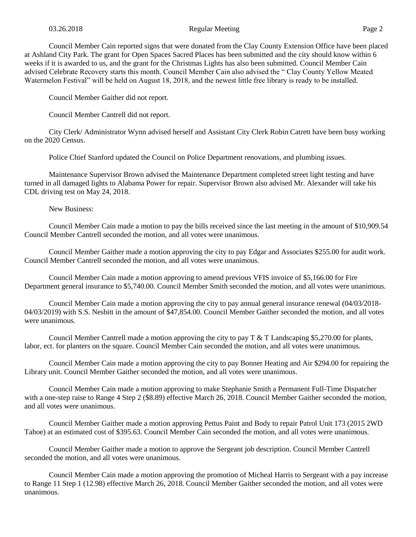### 03.26.2018 Regular Meeting Page 2

Council Member Cain reported signs that were donated from the Clay County Extension Office have been placed at Ashland City Park. The grant for Open Spaces Sacred Places has been submitted and the city should know within 6 weeks if it is awarded to us, and the grant for the Christmas Lights has also been submitted. Council Member Cain advised Celebrate Recovery starts this month. Council Member Cain also advised the " Clay County Yellow Meated Watermelon Festival" will be held on August 18, 2018, and the newest little free library is ready to be installed.

Council Member Gaither did not report.

Council Member Cantrell did not report.

City Clerk/ Administrator Wynn advised herself and Assistant City Clerk Robin Catrett have been busy working on the 2020 Census.

Police Chief Stanford updated the Council on Police Department renovations, and plumbing issues.

Maintenance Supervisor Brown advised the Maintenance Department completed street light testing and have turned in all damaged lights to Alabama Power for repair. Supervisor Brown also advised Mr. Alexander will take his CDL driving test on May 24, 2018.

New Business:

Council Member Cain made a motion to pay the bills received since the last meeting in the amount of \$10,909.54 Council Member Cantrell seconded the motion, and all votes were unanimous.

Council Member Gaither made a motion approving the city to pay Edgar and Associates \$255.00 for audit work. Council Member Cantrell seconded the motion, and all votes were unanimous.

Council Member Cain made a motion approving to amend previous VFIS invoice of \$5,166.00 for Fire Department general insurance to \$5,740.00. Council Member Smith seconded the motion, and all votes were unanimous.

Council Member Cain made a motion approving the city to pay annual general insurance renewal (04/03/2018- 04/03/2019) with S.S. Nesbitt in the amount of \$47,854.00. Council Member Gaither seconded the motion, and all votes were unanimous.

Council Member Cantrell made a motion approving the city to pay T & T Landscaping \$5,270.00 for plants, labor, ect. for planters on the square. Council Member Cain seconded the motion, and all votes were unanimous.

Council Member Cain made a motion approving the city to pay Bonner Heating and Air \$294.00 for repairing the Library unit. Council Member Gaither seconded the motion, and all votes were unanimous.

Council Member Cain made a motion approving to make Stephanie Smith a Permanent Full-Time Dispatcher with a one-step raise to Range 4 Step 2 (\$8.89) effective March 26, 2018. Council Member Gaither seconded the motion, and all votes were unanimous.

Council Member Gaither made a motion approving Pettus Paint and Body to repair Patrol Unit 173 (2015 2WD Tahoe) at an estimated cost of \$395.63. Council Member Cain seconded the motion, and all votes were unanimous.

Council Member Gaither made a motion to approve the Sergeant job description. Council Member Cantrell seconded the motion, and all votes were unanimous.

Council Member Cain made a motion approving the promotion of Micheal Harris to Sergeant with a pay increase to Range 11 Step 1 (12.98) effective March 26, 2018. Council Member Gaither seconded the motion, and all votes were unanimous.